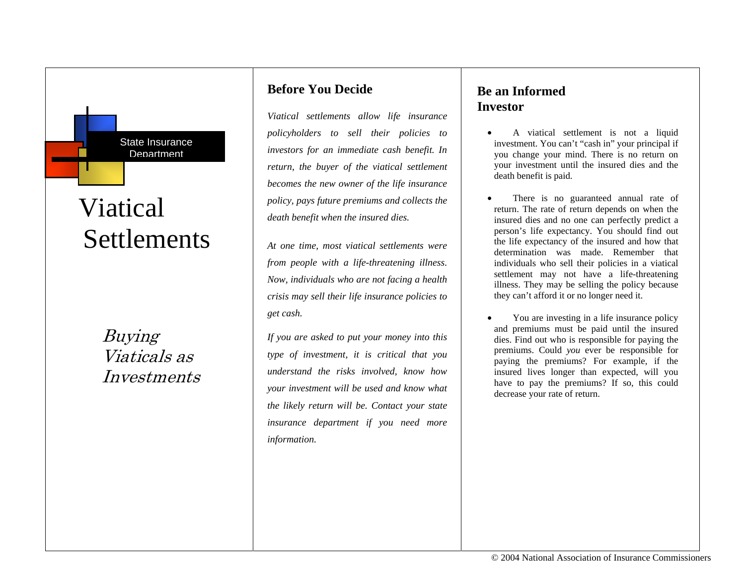# Viatical **Settlements**

State Insurance **Department** 

Buying Viaticals as Investments

### **Before You Decide**

*Viatical settlements allow life insurance policyholders to sell their policies to investors for an immediate cash benefit. In return, the buyer of the viatical settlement becomes the new owner of the life insurance policy, pays future premiums and collects the death benefit when the insured dies.* 

*At one time, most viatical settlements were from people with a life-threatening illness. Now, individuals who are not facing a health crisis may sell their life insurance policies to get cash.* 

*If you are asked to put your money into this type of investment, it is critical that you understand the risks involved, know how your investment will be used and know what the likely return will be. Contact your state insurance department if you need more information.*

### **Be an Informed Investor**

- A viatical settlement is not a liquid investment. You can't "cash in" your principal if you change your mind. There is no return on your investment until the insured dies and the death benefit is paid.
- There is no guaranteed annual rate of return. The rate of return depends on when the insured dies and no one can perfectly predict a person's life expectancy. You should find out the life expectancy of the insured and how that determination was made. Remember that individuals who sell their policies in a viatical settlement may not have a life-threatening illness. They may be selling the policy because they can't afford it or no longer need it.
- You are investing in a life insurance policy and premiums must be paid until the insured dies. Find out who is responsible for paying the premiums. Could *you* ever be responsible for paying the premiums? For example, if the insured lives longer than expected, will you have to pay the premiums? If so, this could decrease your rate of return.